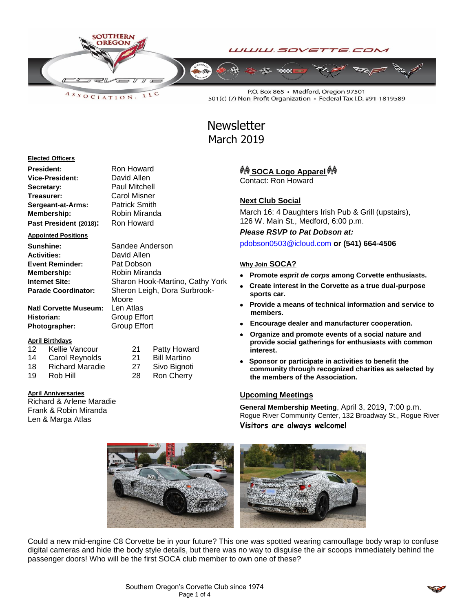

LLC  $A S S O C IAT I O N$ 

P.O. Box 865 · Medford, Oregon 97501 501(c) (7) Non-Profit Organization · Federal Tax I.D. #91-1819589

# **Newsletter** March 2019

#### **Elected Officers**

| President:             | Ron Howard           |
|------------------------|----------------------|
| Vice-President:        | David Allen          |
| Secretary:             | <b>Paul Mitchell</b> |
| Treasurer:             | Carol Misner         |
| Sergeant-at-Arms:      | <b>Patrick Smith</b> |
| <b>Membership:</b>     | Robin Miranda        |
| Past President (2018): | Ron Howard           |

#### **Appointed Positions**

| Sunshine:                    | Sandee Anderson                 |
|------------------------------|---------------------------------|
| <b>Activities:</b>           | David Allen                     |
| <b>Event Reminder:</b>       | Pat Dobson                      |
| Membership:                  | Robin Miranda                   |
| <b>Internet Site:</b>        | Sharon Hook-Martino, Cathy York |
| <b>Parade Coordinator:</b>   | Sheron Leigh, Dora Surbrook-    |
|                              | Moore                           |
| <b>Natl Corvette Museum:</b> | Len Atlas                       |
| Historian:                   | <b>Group Effort</b>             |
| <b>Photographer:</b>         | <b>Group Effort</b>             |

## **April Birthdays**

- 12 Kellie Vancour 21 Patty Howard 14 Carol Reynolds 21 Bill Martino 18 Richard Maradie 27 Sivo Bignoti
- 19 Rob Hill 28 Ron Cherry

## **April Anniversaries**

Richard & Arlene Maradie Frank & Robin Miranda Len & Marga Atlas

# *ै*№़ SOCA Logo Apparel <sup>∯</sup>

Contact: Ron Howard

# **Next Club Social**

March 16: 4 Daughters Irish Pub & Grill (upstairs), 126 W. Main St., Medford, 6:00 p.m.

*Please RSVP to Pat Dobson at:*

[pdobson0503@icloud.com](mailto:pdobson0503@icloud.com) **or (541) 664-4506**

#### **Why Join SOCA?**

- **Promote** *esprit de corps* **among Corvette enthusiasts.**
- **Create interest in the Corvette as a true dual-purpose sports car.**
- **Provide a means of technical information and service to members.**
- **Encourage dealer and manufacturer cooperation.**
- **Organize and promote events of a social nature and provide social gatherings for enthusiasts with common interest.**
- **Sponsor or participate in activities to benefit the community through recognized charities as selected by the members of the Association.**

# **Upcoming Meetings**

**General Membership Meeting**, April 3, 2019, 7:00 p.m. Rogue River Community Center, 132 Broadway St., Rogue River **Visitors are always welcome!**



Could a new mid-engine C8 Corvette be in your future? This one was spotted wearing camouflage body wrap to confuse digital cameras and hide the body style details, but there was no way to disguise the air scoops immediately behind the passenger doors! Who will be the first SOCA club member to own one of these?

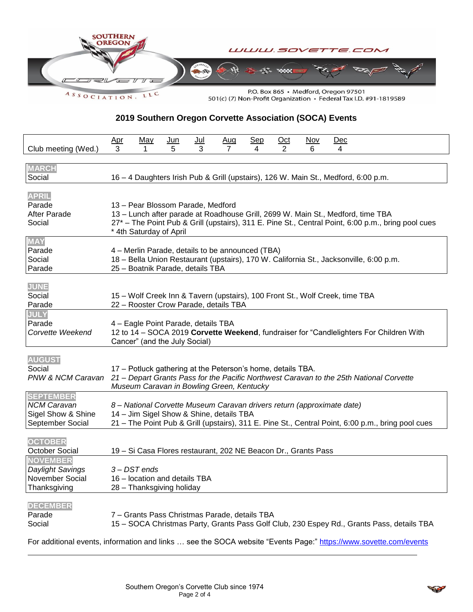

**2019 Southern Oregon Corvette Association (SOCA) Events**

| Club meeting (Wed.)                                                              | <u>Apr</u><br>3                                                                                                                                                                                                                                       | <u>May</u>                                                                                               | <u>Jun</u><br>5 | <u>Jul</u><br>3 | <u>Aug</u><br>$\overline{7}$ | <u>Sep</u><br>4 | $Oct$<br>2 | $Nov$<br>6 | <u>Dec</u><br>4                                                                    |                                                                                                   |  |
|----------------------------------------------------------------------------------|-------------------------------------------------------------------------------------------------------------------------------------------------------------------------------------------------------------------------------------------------------|----------------------------------------------------------------------------------------------------------|-----------------|-----------------|------------------------------|-----------------|------------|------------|------------------------------------------------------------------------------------|---------------------------------------------------------------------------------------------------|--|
| <b>MARCH</b><br>Social                                                           |                                                                                                                                                                                                                                                       |                                                                                                          |                 |                 |                              |                 |            |            | 16 - 4 Daughters Irish Pub & Grill (upstairs), 126 W. Main St., Medford, 6:00 p.m. |                                                                                                   |  |
| <b>APRIL</b><br>Parade<br><b>After Parade</b><br>Social                          | 13 - Pear Blossom Parade, Medford<br>13 - Lunch after parade at Roadhouse Grill, 2699 W. Main St., Medford, time TBA<br>27* - The Point Pub & Grill (upstairs), 311 E. Pine St., Central Point, 6:00 p.m., bring pool cues<br>* 4th Saturday of April |                                                                                                          |                 |                 |                              |                 |            |            |                                                                                    |                                                                                                   |  |
| <b>MAY</b><br>Parade<br>Social<br>Parade                                         | 4 – Merlin Parade, details to be announced (TBA)<br>18 - Bella Union Restaurant (upstairs), 170 W. California St., Jacksonville, 6:00 p.m.<br>25 - Boatnik Parade, details TBA                                                                        |                                                                                                          |                 |                 |                              |                 |            |            |                                                                                    |                                                                                                   |  |
| <b>JUNE</b><br>Social<br>Parade                                                  |                                                                                                                                                                                                                                                       | 22 - Rooster Crow Parade, details TBA                                                                    |                 |                 |                              |                 |            |            | 15 - Wolf Creek Inn & Tavern (upstairs), 100 Front St., Wolf Creek, time TBA       |                                                                                                   |  |
| <b>JULY</b><br>Parade<br>Corvette Weekend                                        | 4 - Eagle Point Parade, details TBA<br>12 to 14 - SOCA 2019 Corvette Weekend, fundraiser for "Candlelighters For Children With<br>Cancer" (and the July Social)                                                                                       |                                                                                                          |                 |                 |                              |                 |            |            |                                                                                    |                                                                                                   |  |
| <b>AUGUST</b><br>Social<br>PNW & NCM Caravan                                     |                                                                                                                                                                                                                                                       | 17 - Potluck gathering at the Peterson's home, details TBA.<br>Museum Caravan in Bowling Green, Kentucky |                 |                 |                              |                 |            |            |                                                                                    | 21 – Depart Grants Pass for the Pacific Northwest Caravan to the 25th National Corvette           |  |
| <b>SEPTEMBER</b><br><b>NCM Caravan</b><br>Sigel Show & Shine<br>September Social |                                                                                                                                                                                                                                                       | 14 - Jim Sigel Show & Shine, details TBA                                                                 |                 |                 |                              |                 |            |            | 8 - National Corvette Museum Caravan drivers return (approximate date)             | 21 - The Point Pub & Grill (upstairs), 311 E. Pine St., Central Point, 6:00 p.m., bring pool cues |  |
| <b>OCTOBER</b><br>October Social                                                 |                                                                                                                                                                                                                                                       | 19 - Si Casa Flores restaurant, 202 NE Beacon Dr., Grants Pass                                           |                 |                 |                              |                 |            |            |                                                                                    |                                                                                                   |  |
| <b>NOVEMBER</b><br><b>Daylight Savings</b><br>November Social<br>Thanksgiving    |                                                                                                                                                                                                                                                       | 3-DST ends<br>16 - location and details TBA<br>28 - Thanksgiving holiday                                 |                 |                 |                              |                 |            |            |                                                                                    |                                                                                                   |  |
| <b>DECEMBER</b><br>Parade<br>Social                                              |                                                                                                                                                                                                                                                       | 7 - Grants Pass Christmas Parade, details TBA                                                            |                 |                 |                              |                 |            |            |                                                                                    | 15 - SOCA Christmas Party, Grants Pass Golf Club, 230 Espey Rd., Grants Pass, details TBA         |  |

For additional events, information and links ... see the SOCA website "Events Page:"<https://www.sovette.com/events>

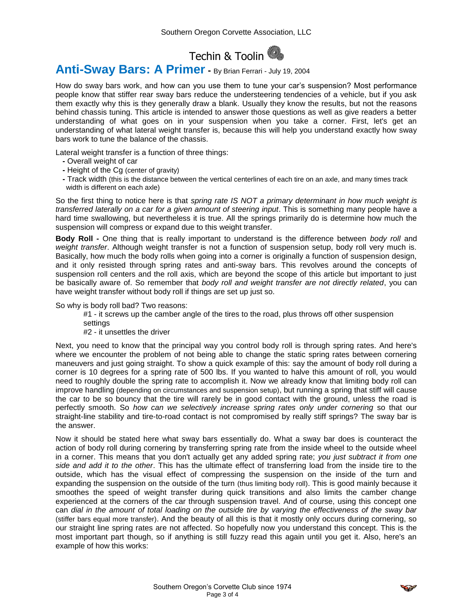# Techin & Toolin

# **Anti-Sway Bars: A Primer -** By Brian Ferrari - July 19, 2004

How do sway bars work, and how can you use them to tune your car's suspension? Most performance people know that stiffer rear sway bars reduce the understeering tendencies of a vehicle, but if you ask them exactly why this is they generally draw a blank. Usually they know the results, but not the reasons behind chassis tuning. This article is intended to answer those questions as well as give readers a better understanding of what goes on in your suspension when you take a corner. First, let's get an understanding of what lateral weight transfer is, because this will help you understand exactly how sway bars work to tune the balance of the chassis.

Lateral weight transfer is a function of three things:

- **-** Overall weight of car
- **-** Height of the Cg (center of gravity)
- **-** Track width (this is the distance between the vertical centerlines of each tire on an axle, and many times track width is different on each axle)

So the first thing to notice here is that *spring rate IS NOT a primary determinant in how much weight is transferred laterally on a car for a given amount of steering input*. This is something many people have a hard time swallowing, but nevertheless it is true. All the springs primarily do is determine how much the suspension will compress or expand due to this weight transfer.

**Body Roll -** One thing that is really important to understand is the difference between *body roll* and *weight transfer*. Although weight transfer is not a function of suspension setup, body roll very much is. Basically, how much the body rolls when going into a corner is originally a function of suspension design, and it only resisted through spring rates and anti-sway bars. This revolves around the concepts of suspension roll centers and the roll axis, which are beyond the scope of this article but important to just be basically aware of. So remember that *body roll and weight transfer are not directly related*, you can have weight transfer without body roll if things are set up just so.

So why is body roll bad? Two reasons:

- #1 it screws up the camber angle of the tires to the road, plus throws off other suspension settings
- #2 it unsettles the driver

Next, you need to know that the principal way you control body roll is through spring rates. And here's where we encounter the problem of not being able to change the static spring rates between cornering maneuvers and just going straight. To show a quick example of this: say the amount of body roll during a corner is 10 degrees for a spring rate of 500 lbs. If you wanted to halve this amount of roll, you would need to roughly double the spring rate to accomplish it. Now we already know that limiting body roll can improve handling (depending on circumstances and suspension setup), but running a spring that stiff will cause the car to be so bouncy that the tire will rarely be in good contact with the ground, unless the road is perfectly smooth. So *how can we selectively increase spring rates only under cornering* so that our straight-line stability and tire-to-road contact is not compromised by really stiff springs? The sway bar is the answer.

Now it should be stated here what sway bars essentially do. What a sway bar does is counteract the action of body roll during cornering by transferring spring rate from the inside wheel to the outside wheel in a corner. This means that you don't actually get any added spring rate; *you just subtract it from one side and add it to the other*. This has the ultimate effect of transferring load from the inside tire to the outside, which has the visual effect of compressing the suspension on the inside of the turn and expanding the suspension on the outside of the turn (thus limiting body roll). This is good mainly because it smoothes the speed of weight transfer during quick transitions and also limits the camber change experienced at the corners of the car through suspension travel. And of course, using this concept one can *dial in the amount of total loading on the outside tire by varying the effectiveness of the sway bar* (stiffer bars equal more transfer). And the beauty of all this is that it mostly only occurs during cornering, so our straight line spring rates are not affected. So hopefully now you understand this concept. This is the most important part though, so if anything is still fuzzy read this again until you get it. Also, here's an example of how this works:

$$
\mathcal{L}^{\mathcal{P}}
$$